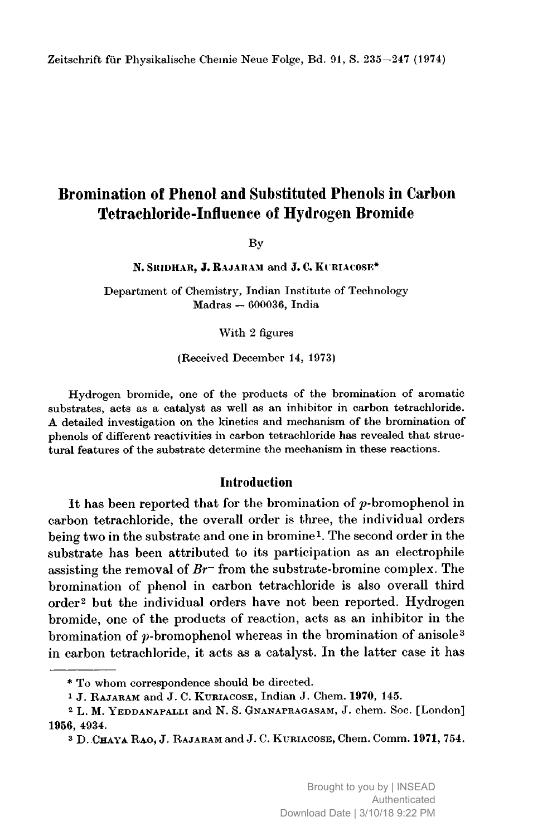# Bromination of Phenol and Substituted Phenols in Carbon Tetrachloride-Influence of Hydrogen Bromide

By

N. SRIDHAR, J. RAJARAM and J. C. KURIACOSE\*

Department of Chemistry, Indian Institute of Technology Madras 600036, India

With <sup>2</sup> figures

#### (Received December 14, 1973)

Hydrogen bromide, one of the products of the bromination of aromatic substrates, acts as a catalyst as well as an inhibitor in carbon tetrachloride. A detaüed investigation on the kinetics and mechanism of the bromination of phenols of different reactivities in carbon tetrachloride has revealed that structural features of the substrate determine the mechanism in these reactions.

### Introduction

It has been reported that for the bromination of  $p$ -bromophenol in carbon tetrachloride, the overall order is three, the individual orders being two in the substrate and one in bromine1. The second order in the substrate has been attributed to its participation as an electrophile assisting the removal of  $Br$ <sup> $-$ </sup> from the substrate-bromine complex. The bromination of phenol in carbon tetrachloride is also overall third order2 but the individual orders have not been reported. Hydrogen bromide, one of the products of reaction, acts as an inhibitor in the bromination of  $p$ -bromophenol whereas in the bromination of anisole<sup>3</sup> in carbon tetrachloride, it acts as <sup>a</sup> catalyst. In the latter case it has

<sup>\*</sup> To whom correspondence should be directed.

<sup>&</sup>lt;sup>1</sup> J. RAJARAM and J. C. KURIACOSE, Indian J. Chem. 1970, 145.

<sup>&</sup>lt;sup>2</sup> L. M. YEDDANAPALLI and N. S. GNANAPRAGASAM, J. chem. Soc. [London] 1956, 4934.

<sup>&</sup>lt;sup>3</sup> D. CHAYA RAO, J. RAJARAM and J. C. KURIACOSE, Chem. Comm. 1971, 754.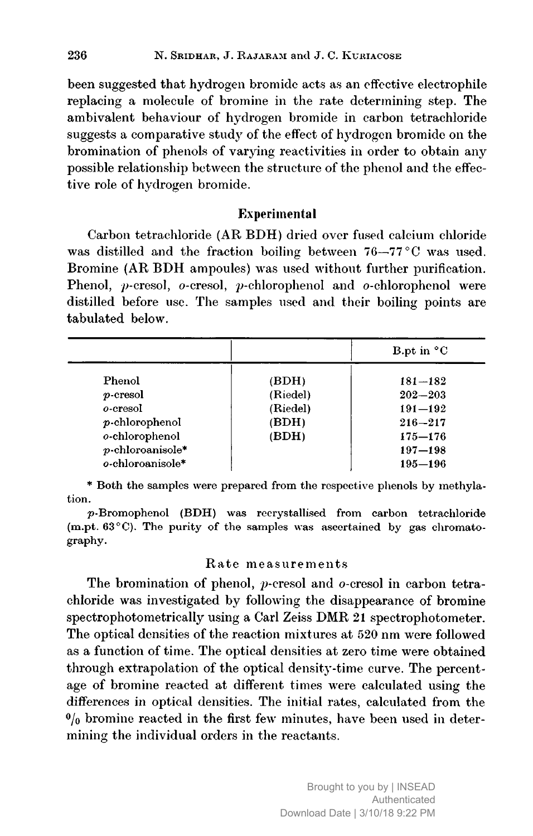been suggested that hydrogen bromide acts as an effective electrophile replacing <sup>a</sup> molecule of bromine in the rate determining step. The ambivalent behaviour of hydrogen bromide in carbon tetrachloride suggests <sup>a</sup> comparative study of the effect of hydrogen bromide on the bromination of phenols of varying reactivities in order to obtain any possible relationship between the structure of the phenol and the effective role of hydrogen bromide.

# Experimental

Carbon tetrachloride (AR BDH) dried over fused calcium chloride was distilled and the fraction boiling between 76—77 °C was used. Bromine (AR BDH ampoules) was used without further purification. Phenol, p-cresol, o-cresol, p-chlorophenol and o-chlorophenol were distilled before use. The samples used and their boiling points are tabulated below.

|                     |          | B.pt in $^{\circ}$ C |
|---------------------|----------|----------------------|
| Phenol              | (BDH)    | $181 - 182$          |
| $p$ -cresol         | (Riedel) | $202 - 203$          |
| o-cresol            | (Riedel) | $191 - 192$          |
| $p$ -chlorophenol   | (BDH)    | $216 - 217$          |
| o-chlorophenol      | (BDH)    | $175 - 176$          |
| $p$ -chloroanisole* |          | $197 - 198$          |
| o-chloroanisole*    |          | $195 - 196$          |

\* Both the samples were prepared from the respective phenols by methylation.

p-Bromophenol (BDH) was recrystallised from carbon tetrachloride (m.pt. <sup>63</sup> °C). The purity of the samples was ascertained by gas chromatography.

### Rate measurements

The bromination of phenol, p-cresol and o-cresol in carbon tetrachloride was investigated by following the disappearance of bromine spectrophotometrically using <sup>a</sup> Carl Zeiss DMR <sup>21</sup> spectrophotometer. The optical densities of the reaction mixtures at <sup>520</sup> nm were followed as <sup>a</sup> function of time. The optical densities at zero time were obtained through extrapolation of the optical density-time curve. The percentage of bromine reacted at different times were calculated using the differences in optical densities. The initial rates, calculated from the  $^{0}/_{0}$  bromine reacted in the first few minutes, have been used in determining the individual orders in the reactants.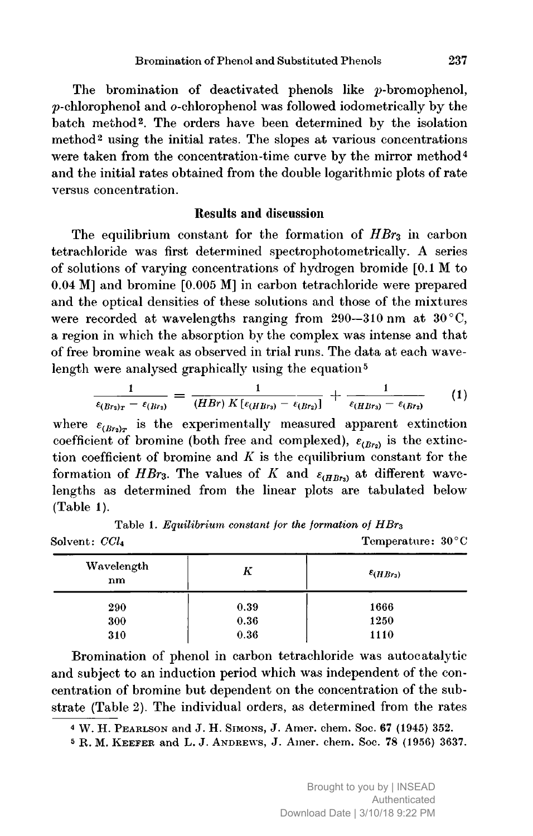The bromination of deactivated phenols like *p*-bromophenol, p-chlorophenol and o-chlorophenol was followed iodometrically by the batch method2. The orders have been determined by the isolation method<sup>2</sup> using the initial rates. The slopes at various concentrations were taken from the concentration-time curve by the mirror method<sup>4</sup> and the initial rates obtained from the double logarithmic plots of rate versus concentration.

### Results and discussion

The equilibrium constant for the formation of  $HBr<sub>3</sub>$  in carbon tetrachloride was first determined spectrophotometrically. A series of solutions of varying concentrations of hydrogen bromide [0.1 M to 0.04 M] and bromine [0.005 M] in carbon tetrachloride were prepared and the optical densities of these solutions and those of the mixtures were recorded at wavelengths ranging from  $290-310$  nm at  $30^{\circ}$ C, a region in which the absorption by the complex was intense and that<br>of free bromine weak as observed in trial runs. The data at each wave-<br>length were analysed graphically using the equation<sup>5</sup><br> $\frac{1}{\epsilon_{(Br_2)_T} - \epsilon_{(Br_2)}} =$ of free bromine weak as observed in trial runs. The data at each wavelength were analysed graphically using the equation<sup>5</sup>

$$
\frac{1}{\epsilon_{(Br_2)_T}-\epsilon_{(Br_2)}}=\frac{1}{(HBr)\;K\left[\epsilon_{(HBr_3)}-\epsilon_{(Br_2)}\right]}+\frac{1}{\epsilon_{(HBr_3)}-\epsilon_{(Br_2)}}\qquad (1)
$$

where  $\varepsilon_{(Br_2)_x}$  is the experimentally measured apparent extinction coefficient of bromine (both free and complexed),  $\varepsilon_{(Br)}$  is the extinction coefficient of bromine and  $K$  is the equilibrium constant for the formation of HBr<sub>3</sub>. The values of K and  $\varepsilon_{(HBB)}$  at different wavelengths as determined from the linear plots are tabulated below (Table 1).

Table 1. Equilibrium constant for the formation of  $HBr<sub>3</sub>$ Solvent:  $CCl_4$  Temperature:  $30^{\circ}$ C

| Wavelength<br>nm | K    | $\varepsilon$ ( <i>HBr</i> <sub>3</sub> ) |
|------------------|------|-------------------------------------------|
| 290              | 0.39 | 1666                                      |
| 300              | 0.36 | 1250                                      |
| 310              | 0.36 | 1110                                      |

Bromination of phenol in carbon tetrachloride was autocatalytic and subject to an induction period which was independent of the concentration of bromine but dependent on the concentration of the substrate (Table 2). The individual orders, as determined from the rates

 $4$  W. H. PEARLSON and J. H. SIMONS, J. Amer. chem. Soc. 67 (1945) 352.

<sup>5</sup> R. M. KEEFER and L. J. ANDREWS, J. Amer. chem. Soc. 78 (1956) 3637.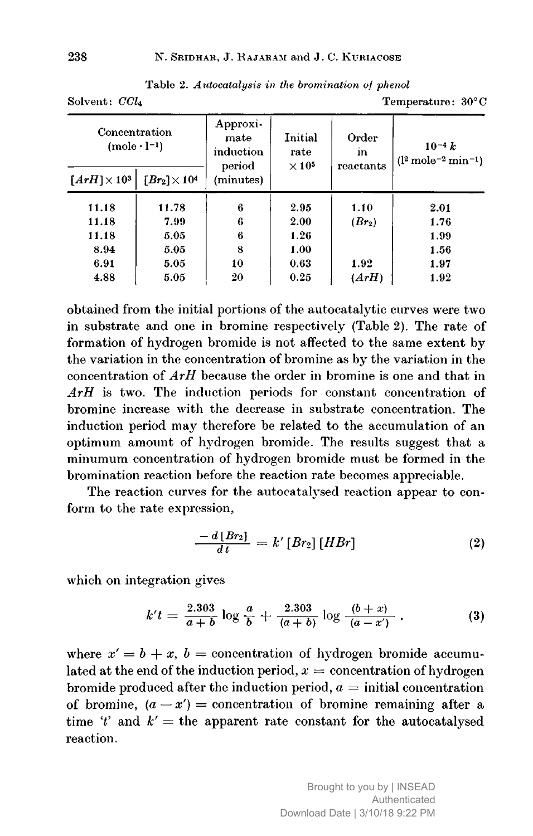| Concentration<br>$(mole \cdot l^{-1})$ |                                         | Approxi-<br>mate<br>induction<br>period | Initial<br>rate<br>$\times$ 10 <sup>5</sup> | Order<br>in<br>reactants | $10^{-4} k$<br>$(l^2 \text{ mole}^{-2} \text{min}^{-1})$ |
|----------------------------------------|-----------------------------------------|-----------------------------------------|---------------------------------------------|--------------------------|----------------------------------------------------------|
| $\lceil ArH\rceil \times 10^3$         | $\lceil Br_2 \rceil \times 10^4 \rceil$ | (minutes)                               |                                             |                          |                                                          |
| 11.18                                  | 11.78                                   | 6                                       | 2.95                                        | 1.10                     | 2.01                                                     |
| 11.18                                  | 7.99                                    | 6                                       | 2.00                                        | $(Br_2)$                 | 1.76                                                     |
| 11.18                                  | 5.05                                    | 6                                       | 1.26                                        |                          | 1.99                                                     |
| 8.94                                   | 5.05                                    | 8                                       | 1.00                                        |                          | 1.56                                                     |
| 6.91                                   | 5.05                                    | 10                                      | 0.63                                        | 1.92                     | 1.97                                                     |
| 4.88                                   | 5.05                                    | 20                                      | 0.25                                        | (ArH)                    | 1.92                                                     |

Table 2. Autocatalysis in the bromination of phenol Solvent: CCL Temperature: 30°C

obtained from the initial portions of the autocatalytic curves were two in substrate and one in bromine respectively (Table 2). The rate of formation of hydrogen bromide is not affected to the same extent by the variation in the concentration of bromine as by the variation in the concentration of ArH because the order in bromine is one and that in ArH is two. The induction periods for constant concentration of bromine increase with the decrease in substrate concentration. The induction period may therefore be related to the accumulation of an optimum amount of hydrogen bromide. The results suggest that <sup>a</sup> minumum concentration of hydrogen bromide must be formed in the bromination reaction before the reaction rate becomes appreciable.

The reaction curves for the autocatalysed reaction appear to conform to the rate expression,

$$
\frac{-d\left[Br_{2}\right]}{dt}=k'\left[Br_{2}\right]\left[HBr\right]
$$
\n(2)

which on integration gives

$$
k't = \frac{2.303}{a+b} \log \frac{a}{b} + \frac{2.303}{(a+b)} \log \frac{(b+x)}{(a-x')} \ . \tag{3}
$$

where  $x' = b + x$ ,  $b =$  concentration of hydrogen bromide accumulated at the end of the induction period,  $x =$  concentration of hydrogen bromide produced after the induction period,  $a =$  initial concentration of bromine,  $(a - x') =$  concentration of bromine remaining after a time 't' and  $k' =$  the apparent rate constant for the autocatalysed reaction.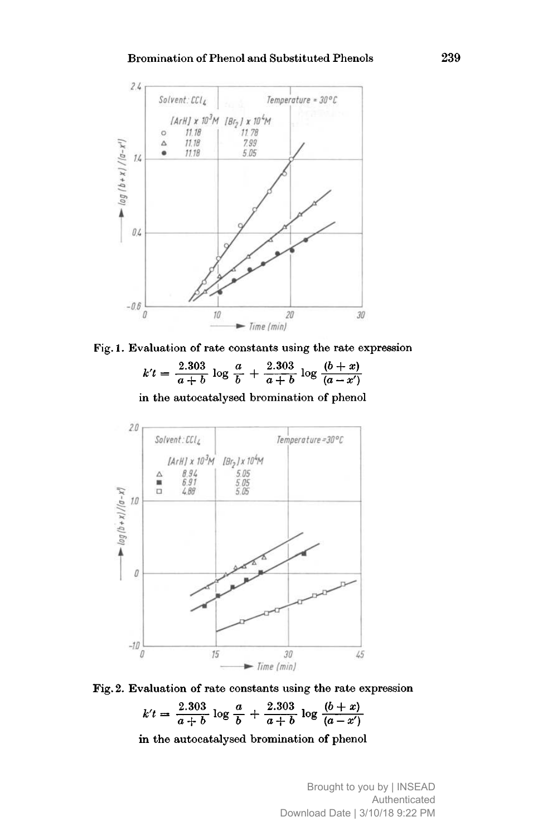#### Bromination of Phenol and Substituted Phenols 239



Fig. 1. Evaluation of rate constants using the rate expression

| $k't = \frac{2.303}{a+b} \log \frac{a}{b} + \frac{2.303}{a+b} \log \frac{(b+x)}{(a-x')}$ |  |  |  |  |
|------------------------------------------------------------------------------------------|--|--|--|--|
|                                                                                          |  |  |  |  |

in the autocatalysed bromination of phenol



Fig. 2. Evaluation of rate constants using the rate expression

$$
k't = \frac{2.303}{a+b} \log \frac{a}{b} + \frac{2.303}{a+b} \log \frac{(b+x)}{(a-x')}
$$

in the autocatalysed bromination of phenol

Brought to you by | INSEAD Authenticated Download Date | 3/10/18 9:22 PM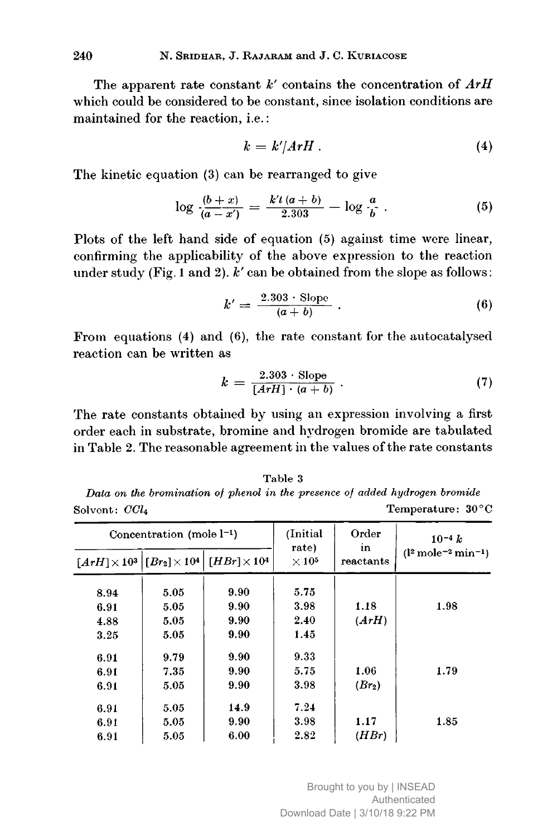The apparent rate constant  $k'$  contains the concentration of  $ArH$ which could be considered to be constant, since isolation conditions are maintained for the reaction, i.e. :

$$
k = k'/ArH \,.
$$
 (4)

The kinetic equation (3) can be rearranged to give

$$
\log \frac{(b+x)}{(a-x')} = \frac{k't\,(a+b)}{2.303} - \log \frac{a}{b} \ . \tag{5}
$$

Plots of the left hand side of equation (5) against time were linear, confirming the applicability of the above expression to the reaction under study (Fig. 1 and 2).  $k'$  can be obtained from the slope as follows:

$$
k' = \frac{2.303 \cdot \text{Slope}}{(a+b)} \ . \tag{6}
$$

From equations (4) and (6), the rate constant for the autocatalysed reaction can be written as

$$
k = \frac{2.303 \cdot \text{Slope}}{[ArH] \cdot (a+b)} \ . \tag{7}
$$

The rate constants obtained by using an expression involving <sup>a</sup> first order each in substrate, bromine and hydrogen bromide are tabulated in Table 2. The reasonable agreement in the values of the rate constants

Table 3 Data on the bromination of phenol in the presence of added hydrogen bromide Solvent:  $CCl<sub>4</sub>$  Temperature:  $30^{\circ}$ C

| Concentration (mole $l^{-1}$ ) |      | (Initial)                                                                                                      | Order                             | $10^{-4} k$     |                                                |
|--------------------------------|------|----------------------------------------------------------------------------------------------------------------|-----------------------------------|-----------------|------------------------------------------------|
|                                |      | $\lceil ArH \rceil \times 10^3 \rceil$ $\lceil Br_2 \rceil \times 10^4 \rceil$ $\lceil HBr \rceil \times 10^4$ | rate)<br>$\times$ 10 <sup>5</sup> | in<br>reactants | $(l^2 \, \text{mole}^{-2} \, \text{min}^{-1})$ |
| 8.94                           | 5.05 | 9.90                                                                                                           | 5.75                              |                 |                                                |
| 6.91                           | 5.05 | 9.90                                                                                                           | 3.98                              | 1.18            | 1.98                                           |
| 4.88                           | 5.05 | 9.90                                                                                                           | 2.40                              | (ArH)           |                                                |
| 3.25                           | 5.05 | 9.90                                                                                                           | 1.45                              |                 |                                                |
| 6.91                           | 9.79 | 9.90                                                                                                           | 9.33                              |                 |                                                |
| 6.91                           | 7.35 | 9.90                                                                                                           | 5.75                              | 1.06            | 1.79                                           |
| 6.91                           | 5.05 | 9.90                                                                                                           | 3.98                              | $(Br_2)$        |                                                |
| 6.91                           | 5.05 | 14.9                                                                                                           | 7.24                              |                 |                                                |
| 6.91                           | 5.05 | 9.90                                                                                                           | 3.98                              | 1.17            | 1.85                                           |
| 6.91                           | 5.05 | 6.00                                                                                                           | 2.82                              | (HBr)           |                                                |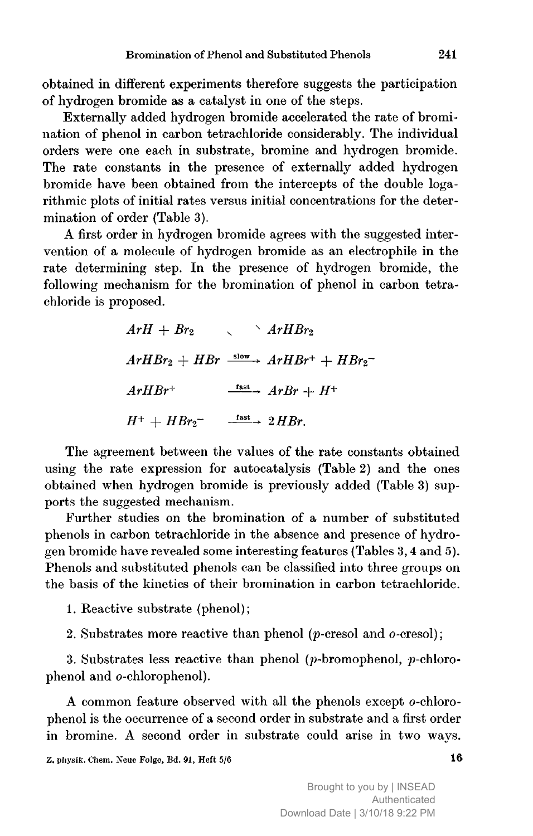obtained in different experiments therefore suggests the participation of hydrogen bromide as <sup>a</sup> catalyst in one of the steps.

Externally added hydrogen bromide accelerated the rate of bromination of phenol in carbon tetrachloride considerably. The individual orders were one each in substrate, bromine and hydrogen bromide. The rate constants in the presence of externally added hydrogen bromide have been obtained from the intercepts of the double logarithmic plots of initial rates versus initial concentrations for the determination of order (Table 3).

A first order in hydrogen bromide agrees with the suggested intervention of <sup>a</sup> molecule of hydrogen bromide as an electrophile in the rate determining step. In the presence of hydrogen bromide, the following mechanism for the bromination of phenol in carbon tetrachloride is proposed.

> $ArH + Br_2 \qquad \qquad \qquad \wedge ArHBr_2$  $ArHBr_2 + HBr \xrightarrow{\text{slow}} ArHBr^+ + HBr_2^ ArHBr^+$   $\frac{fast}{\sqrt{2}}$   $ArBr + H^+$  $H^+ + HBr_2^ \stackrel{\text{fast}}{\longrightarrow} 2HBr.$

The agreement between the values of the rate constants obtained using the rate expression for autocatalysis (Table 2) and the ones obtained when hydrogen bromide is previously added (Table 3) supports the suggested mechanism.

Further studies on the bromination of a number of substituted phenols in carbon tetrachloride in the absence and presence of hydrogen bromide have revealed some interesting features (Tables 3, <sup>4</sup> and 5). Phenols and substituted phenols can be classified into three groups on the basis of the kinetics of their bromination in carbon tetrachloride.

1. Reactive substrate (phenol);

2. Substrates more reactive than phenol ( $p$ -cresol and  $o$ -cresol);

3. Substrates less reactive than phenol (p-bromophenol, p-chlorophenol and o-chlorophenol).

A common feature observed with all the phenols except o-chlorophenol is the occurrence of <sup>a</sup> second order in substrate and <sup>a</sup> first order in bromine. A second order in substrate could arise in two ways.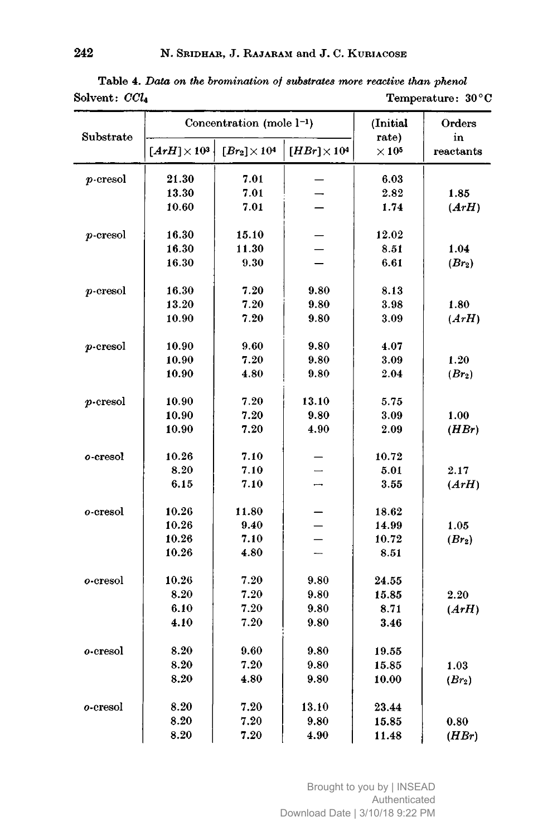| Substrate   |                     | Concentration (mole l <sup>-1</sup> ) | (Initial                 | Orders<br>in          |                    |
|-------------|---------------------|---------------------------------------|--------------------------|-----------------------|--------------------|
|             | $[ArH] \times 10^3$ | $[Br_2] \times 10^4$                  | $[HBr] \times 10^4$      | rate)<br>$\times$ 105 | reactants          |
| $p$ -cresol | 21.30               | 7.01                                  |                          | 6.03                  |                    |
|             | 13.30               | 7.01                                  |                          | 2.82                  | 1.85               |
|             | 10.60               | 7.01                                  |                          | 1.74                  | (ArH)              |
| p-cresol    | 16.30               | 15.10                                 |                          | 12.02                 |                    |
|             | 16.30               | 11.30                                 |                          | 8.51                  | 1.04               |
|             | 16.30               | 9.30                                  |                          | 6.61                  | $(Br_2)$           |
| $p$ -cresol | 16.30               | 7.20                                  | 9.80                     | 8.13                  |                    |
|             | 13.20               | 7.20                                  | 9.80                     | 3.98                  | 1.80               |
|             | 10.90               | 7.20                                  | 9.80                     | 3.09                  | (ArH)              |
| $p$ -cresol | 10.90               | 9.60                                  | 9.80                     | 4.07                  |                    |
|             | 10.90               | 7.20                                  | 9.80                     | 3.09                  | 1.20               |
|             | 10.90               | 4.80                                  | 9.80                     | 2.04                  | (Br <sub>2</sub> ) |
| $p$ -cresol | 10.90               | 7.20                                  | 13.10                    | 5.75                  |                    |
|             | 10.90               | 7.20                                  | 9.80                     | 3.09                  | 1.00               |
|             | 10.90               | 7.20                                  | 4.90                     | 2.09                  | (HBr)              |
| o-cresol    | 10.26               | 7.10                                  |                          | 10.72                 |                    |
|             | 8.20                | 7.10                                  |                          | 5.01                  | 2.17               |
|             | 6.15                | 7.10                                  |                          | 3.55                  | (ArH)              |
| o-cresol    | 10.26               | 11.80                                 |                          | 18.62                 |                    |
|             | 10.26               | 9.40                                  |                          | 14.99                 | 1.05               |
|             | 10.26               | 7.10                                  |                          | 10.72                 | $(Br_2)$           |
|             | 10.26               | 4.80                                  | $\overline{\phantom{0}}$ | 8.51                  |                    |
| o-cresol    | 10.26               | 7.20                                  | 9.80                     | 24.55                 |                    |
|             | 8.20                | 7.20                                  | 9.80                     | 15.85                 | 2.20               |
|             | 6.10                | 7.20                                  | 9.80                     | 8.71                  | (ArH)              |
|             | 4.10                | 7.20                                  | 9.80                     | 3.46                  |                    |
| o-cresol    | 8.20                | 9.60                                  | $\boldsymbol{9.80}$      | 19.55                 |                    |
|             | 8.20                | 7.20                                  | 9.80                     | 15.85                 | 1.03               |
|             | 8.20                | 4.80                                  | 9.80                     | 10.00                 | (Br <sub>2</sub> ) |
| o-cresol    | 8.20                | 7.20                                  | 13.10                    | 23.44                 |                    |
|             | 8.20                | 7.20                                  | 9.80                     | 15.85                 | 0.80               |
|             | 8.20                | 7.20                                  | 4.90                     | 11.48                 | (HBr)              |

Table 4. Data on the bromination of substrates more reactive than phenol<br>Solvent:  $CCl<sub>4</sub>$  Temperature: 3  $Solvent:  $CCl_4$  Temperature:  $30^{\circ}C$$ 

> Brought to you by | INSEAD Authenticated Download Date | 3/10/18 9:22 PM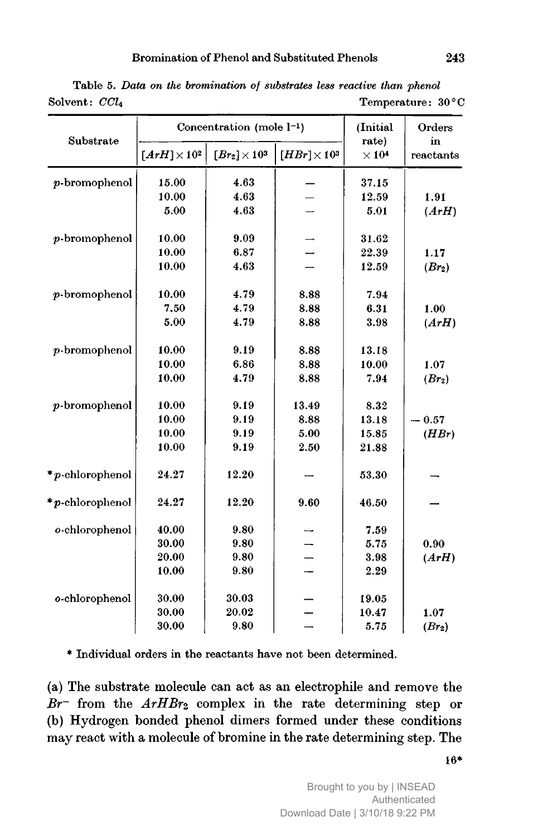| Substrate        |                     | Concentration (mole 1-1) |                     | (Initial)<br>rate)       | Orders<br>in       |
|------------------|---------------------|--------------------------|---------------------|--------------------------|--------------------|
|                  | $[ArH] \times 10^2$ | $[Br_2] \times 10^3$     | $[HBr] \times 10^3$ | $\times$ 10 <sup>4</sup> | reactants          |
| $p$ -bromophenol | 15.00               | 4.63                     |                     | 37.15                    |                    |
|                  | 10.00               | 4.63                     |                     | 12.59                    | 1.91               |
|                  | 5.00                | 4.63                     |                     | 5.01                     | (ArH)              |
| $p$ -bromophenol | 10.00               | 9.09                     |                     | 31.62                    |                    |
|                  | 10.00               | 6.87                     |                     | 22.39                    | 1.17               |
|                  | 10.00               | 4.63                     |                     | 12.59                    | (Br <sub>2</sub> ) |
| $p$ -bromophenol | 10.00               | 4.79                     | 8.88                | 7.94                     |                    |
|                  | 7.50                | 4.79                     | 8.88                | 6.31                     | 1.00               |
|                  | 5.00                | 4.79                     | 8.88                | 3.98                     | (ArH)              |
| $p$ -bromophenol | 10.00               | 9.19                     | 8.88                | 13.18                    |                    |
|                  | 10.00               | 6.86                     | 8.88                | 10.00                    | 1.07               |
|                  | 10.00               | 4.79                     | 8.88                | 7.94                     | $(Br_2)$           |
| $p$ -bromophenol | 10.00               | 9.19                     | 13.49               | 8.32                     |                    |
|                  | 10.00               | 9.19                     | 8.88                | 13.18                    | $-0.57$            |
|                  | 10.00               | 9.19                     | 5.00                | 15.85                    | (HBr)              |
|                  | 10.00               | 9.19                     | 2.50                | 21.88                    |                    |
| *p-chlorophenol  | 24.27               | 12.20                    |                     | 53.30                    |                    |
| *p-chlorophenol  | 24.27               | 12.20                    | 9.60                | 46.50                    |                    |
| o-chlorophenol   | 40.00               | 9.80                     |                     | 7.59                     |                    |
|                  | 30.00               | 9.80                     |                     | 5.75                     | 0.90               |
|                  | 20.00               | 9.80                     |                     | 3.98                     | (ArH)              |
|                  | 10.00               | 9.80                     |                     | 2.29                     |                    |
| o-chlorophenol   | 30.00               | 30.03                    |                     | 19.05                    |                    |
|                  | 30.00               | 20.02                    |                     | 10.47                    | 1.07               |
|                  | 30.00               | 9.80                     |                     | 5.75                     | (Br <sub>2</sub> ) |

Table 5. Data on the bromination of substrates less reactive than phenol Solvent:  $CCl<sub>4</sub>$  Temperature:  $30^{\circ}$ C

\* Individual orders in the reactants have not been determined.

(a) The substrate molecule can act as an electrophile and remove the  $Br^-$  from the  $ArHBr_2$  complex in the rate determining step or (b) Hydrogen bonded phenol dimers formed under these conditions may react with <sup>a</sup> molecule of bromine in the rate determining step. The

Brought to you by | INSEAD Authenticated Download Date | 3/10/18 9:22 PM 16\*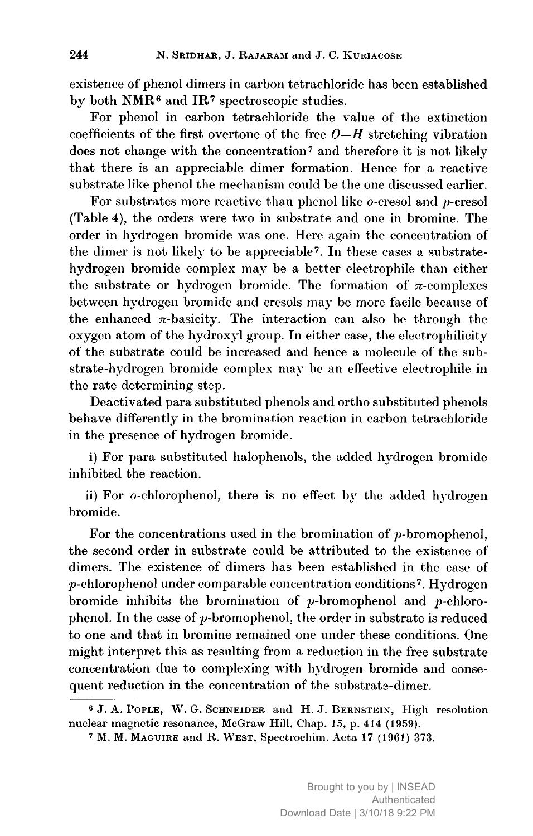existence of phenol dimers in carbon tetrachloride has been established by both NMR6 and IR7 spectroscopic studies.

For phenol in carbon tetrachloride the value of the extinction coefficients of the first overtone of the free  $O-H$  stretching vibration does not change with the concentration<sup>7</sup> and therefore it is not likely that there is an appreciable dimer formation. Hence for <sup>a</sup> reactive substrate like phenol the mechanism could be the one discussed earlier.

For substrates more reactive than phenol like  $o$ -cresol and  $v$ -cresol (Table 4), the orders were two in substrate and one in bromine. The order in hydrogen bromide was one. Here again the concentration of the dimer is not likely to be appreciable7. In these cases <sup>a</sup> substratehydrogen bromide complex may be <sup>a</sup> better electrophile than either the substrate or hydrogen bromide. The formation of  $\pi$ -complexes between hydrogen bromide and cresols may be more facile because of the enhanced  $\pi$ -basicity. The interaction can also be through the oxygen atom of the hydroxyl group. In either case, the electrophilicity of the substrate could be increased and hence a molecule of the substrate-hydrogen bromide complex may be an effective electrophile in the rate determining step.

Deactivated para substituted phenols and ortho substituted phenols behave differently in the bromination reaction in carbon tetrachloride in the presence of hydrogen bromide.

i) For para substituted halophenols, the added hydrogen bromide inhibited the reaction.

ii) For o-chlorophenol, there is no effect by the added hydrogen bromide.

For the concentrations used in the bromination of  $p$ -bromophenol, the second order in substrate could be attributed to the existence of dimers. The existence of dimers has been established in the case of p-chlorophenol under comparable concentration conditions7. Hydrogen bromide inhibits the bromination of  $p$ -bromophenol and  $p$ -chlorophenol. In the case of  $p$ -bromophenol, the order in substrate is reduced to one and that in bromine remained one under these conditions. One might interpret this as resulting from <sup>a</sup> reduction in the free substrate concentration due to complexing with hydrogen bromide and consequent reduction in the concentration of the substrate-dimer.

<sup>6</sup> J. A. Pople, W. G. Schneider and H. J. Bernstein, High resolution nuclear magnetic resonance, McGraw Hill, Chap. 15, p. 414 (1959).

<sup>&</sup>lt;sup>7</sup> M. M. MAGUIRE and R. WEST, Spectrochim. Acta 17 (1961) 373.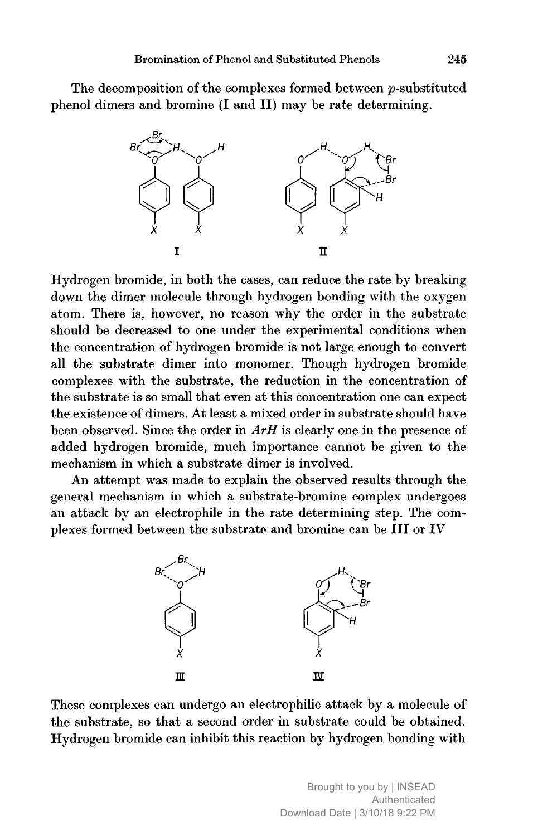The decomposition of the complexes formed between *p*-substituted phenol dimers and bromine (I and II) may be rate determining.



Hydrogen bromide, in both the cases, can reduce the rate by breaking down the dimer molecule through hydrogen bonding with the oxygen atom. There is, however, no reason why the order in the substrate should be decreased to one under the experimental conditions when the concentration of hydrogen bromide is not large enough to convert all the substrate dimer into monomer. Though hydrogen bromide complexes with the substrate, the reduction in the concentration of the substrate is so small that even at this concentration one can expect the existence of dimers. At least a mixed order in substrate should have been observed. Since the order in  $ArH$  is clearly one in the presence of added hydrogen bromide, much importance cannot be given to the mechanism in which a substrate dimer is involved.

An attempt was made to explain the observed results through the general mechanism in which <sup>a</sup> substrate-bromine complex undergoes an attack by an electrophile in the rate determining step. The complexes formed between the substrate and bromine can be III or IV



These complexes can undergo an electrophilic attack by <sup>a</sup> molecule of the substrate, so that a second order in substrate could be obtained. Hydrogen bromide can inhibit this reaction by hydrogen bonding with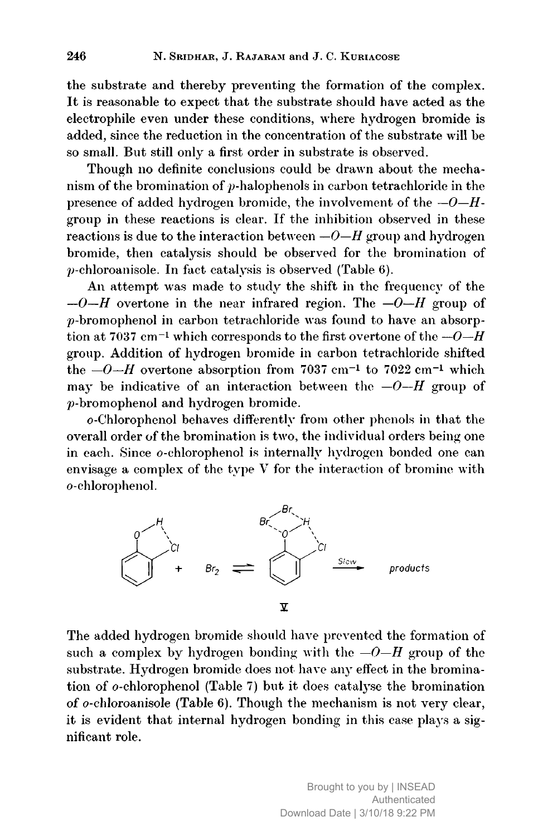the substrate and thereby preventing the formation of the complex. It is reasonable to expect that the substrate should have acted as the electrophile even under these conditions, where hydrogen bromide is added, since the reduction in the concentration of the substrate will be so small. But still only <sup>a</sup> first order in substrate is observed.

Though no definite conclusions could be drawn about the mechanism of the bromination of p-halophenols in carbon tetrachloride in the presence of added hydrogen bromide, the involvement of the  $-O-H$ group in these reactions is clear. If the inhibition observed in these reactions is due to the interaction between  $-0-H$  group and hydrogen bromide, then catalysis should be observed for the bromination of  $p$ -chloroanisole. In fact catalysis is observed (Table 6).

An attempt was made to study the shift in the frequency of the  $-0$ -H overtone in the near infrared region. The  $-0$ -H group of  $p$ -bromophenol in carbon tetrachloride was found to have an absorption at 7037 cm<sup>-1</sup> which corresponds to the first overtone of the  $-0$ -H group. Addition of hydrogen bromide in carbon tetrachloride shifted the  $-0$ -H overtone absorption from 7037 cm<sup>-1</sup> to 7022 cm<sup>-1</sup> which may be indicative of an interaction between the  $-0-H$  group of p-bromophenol and hydrogen bromide.

o-Chlorophenol behaves differently from other phenols in that the overall order of the bromination is two, the individual orders being one in each. Since o-chlorophenol is internally hydrogen bonded one can envisage <sup>a</sup> complex of the type V for the interaction of bromine with o-chlorophenol.



The added hydrogen bromide should have prevented the formation of such a complex by hydrogen bonding with the  $-O-H$  group of the substrate. Hydrogen bromide does not have any effect in the bromination of  $o$ -chlorophenol (Table 7) but it does catalyse the bromination of o-chloroanisole (Table 6). Though the mechanism is not very clear, it is evident that internal hydrogen bonding in this case plays <sup>a</sup> significant role.